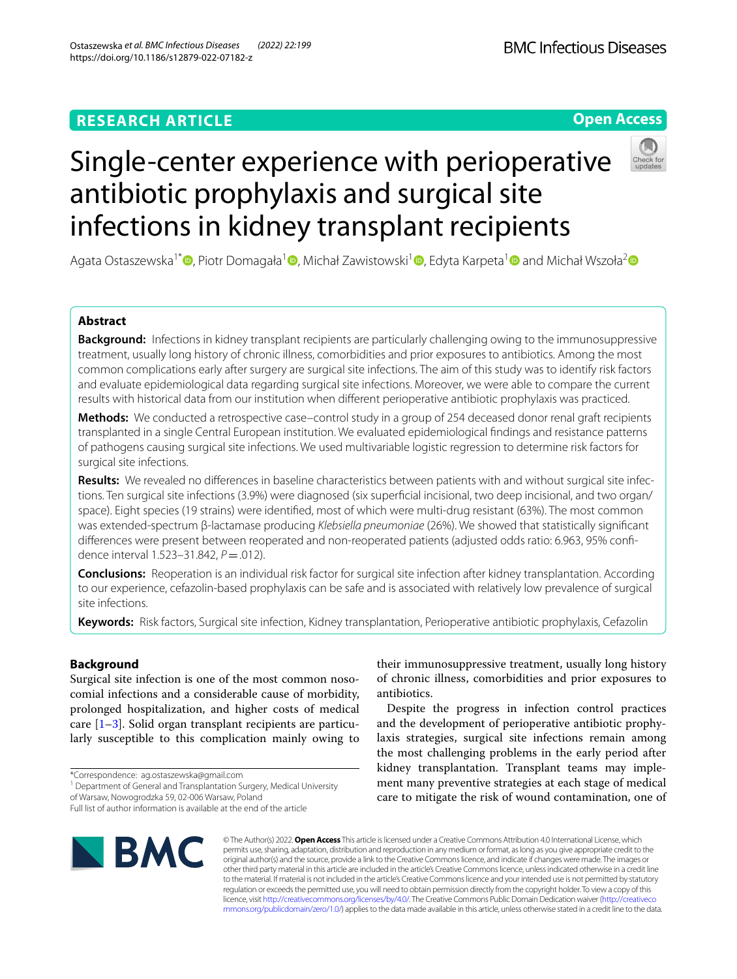# **Open Access**



# Single-center experience with perioperative antibiotic prophylaxis and surgical site infections in kidney transplant recipients

Agata Ostaszewska<sup>1\*</sup> [,](http://orcid.org/0000-0002-5173-6283) Piotr Domagała<sup>[1](http://orcid.org/0000-0003-3944-4402)</sup> , Michał Zawistowski<sup>1</sup> , Edyta Karpeta<sup>1</sup> and Michał Wszoła<sup>[2](http://orcid.org/0000-0001-5920-4065)</sup> and

# **Abstract**

**Background:** Infections in kidney transplant recipients are particularly challenging owing to the immunosuppressive treatment, usually long history of chronic illness, comorbidities and prior exposures to antibiotics. Among the most common complications early after surgery are surgical site infections. The aim of this study was to identify risk factors and evaluate epidemiological data regarding surgical site infections. Moreover, we were able to compare the current results with historical data from our institution when diferent perioperative antibiotic prophylaxis was practiced.

**Methods:** We conducted a retrospective case–control study in a group of 254 deceased donor renal graft recipients transplanted in a single Central European institution. We evaluated epidemiological fndings and resistance patterns of pathogens causing surgical site infections. We used multivariable logistic regression to determine risk factors for surgical site infections.

**Results:** We revealed no diferences in baseline characteristics between patients with and without surgical site infections. Ten surgical site infections (3.9%) were diagnosed (six superfcial incisional, two deep incisional, and two organ/ space). Eight species (19 strains) were identifed, most of which were multi-drug resistant (63%). The most common was extended-spectrum β-lactamase producing *Klebsiella pneumoniae* (26%). We showed that statistically signifcant diferences were present between reoperated and non-reoperated patients (adjusted odds ratio: 6.963, 95% confdence interval 1.523-31.842,  $P = .012$ ).

**Conclusions:** Reoperation is an individual risk factor for surgical site infection after kidney transplantation. According to our experience, cefazolin-based prophylaxis can be safe and is associated with relatively low prevalence of surgical site infections.

**Keywords:** Risk factors, Surgical site infection, Kidney transplantation, Perioperative antibiotic prophylaxis, Cefazolin

# **Background**

Surgical site infection is one of the most common nosocomial infections and a considerable cause of morbidity, prolonged hospitalization, and higher costs of medical care [[1–](#page-8-0)[3\]](#page-8-1). Solid organ transplant recipients are particularly susceptible to this complication mainly owing to

\*Correspondence: ag.ostaszewska@gmail.com

<sup>1</sup> Department of General and Transplantation Surgery, Medical University of Warsaw, Nowogrodzka 59, 02-006 Warsaw, Poland

their immunosuppressive treatment, usually long history of chronic illness, comorbidities and prior exposures to antibiotics.

Despite the progress in infection control practices and the development of perioperative antibiotic prophylaxis strategies, surgical site infections remain among the most challenging problems in the early period after kidney transplantation. Transplant teams may implement many preventive strategies at each stage of medical care to mitigate the risk of wound contamination, one of



© The Author(s) 2022. **Open Access** This article is licensed under a Creative Commons Attribution 4.0 International License, which permits use, sharing, adaptation, distribution and reproduction in any medium or format, as long as you give appropriate credit to the original author(s) and the source, provide a link to the Creative Commons licence, and indicate if changes were made. The images or other third party material in this article are included in the article's Creative Commons licence, unless indicated otherwise in a credit line to the material. If material is not included in the article's Creative Commons licence and your intended use is not permitted by statutory regulation or exceeds the permitted use, you will need to obtain permission directly from the copyright holder. To view a copy of this licence, visit [http://creativecommons.org/licenses/by/4.0/.](http://creativecommons.org/licenses/by/4.0/) The Creative Commons Public Domain Dedication waiver ([http://creativeco](http://creativecommons.org/publicdomain/zero/1.0/) [mmons.org/publicdomain/zero/1.0/](http://creativecommons.org/publicdomain/zero/1.0/)) applies to the data made available in this article, unless otherwise stated in a credit line to the data.

Full list of author information is available at the end of the article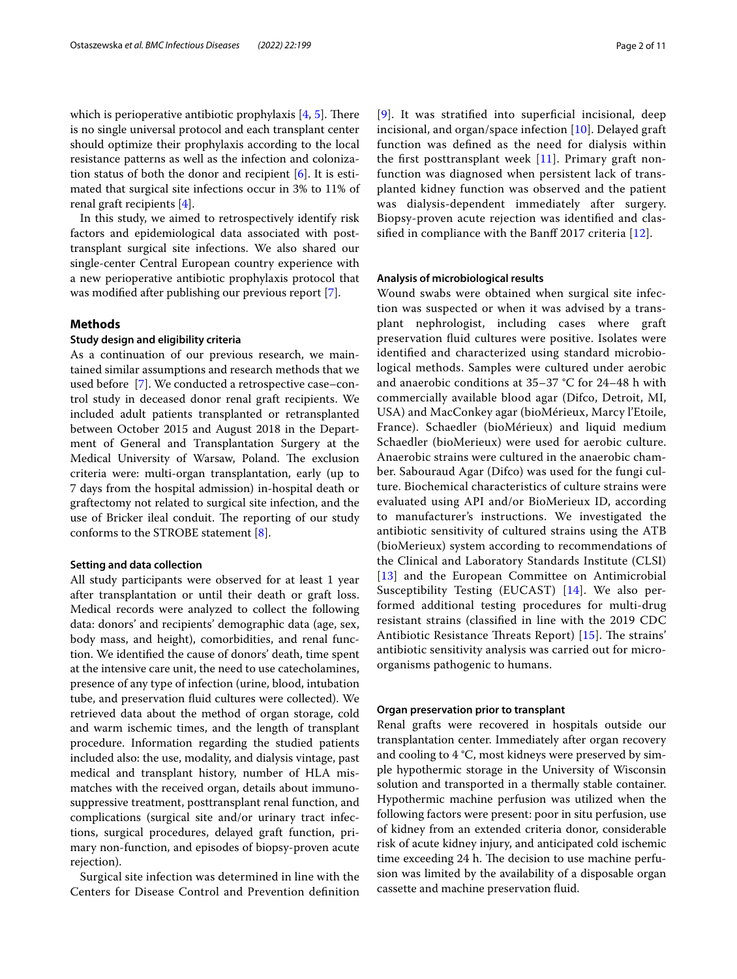which is perioperative antibiotic prophylaxis  $[4, 5]$  $[4, 5]$  $[4, 5]$  $[4, 5]$  $[4, 5]$ . There is no single universal protocol and each transplant center should optimize their prophylaxis according to the local resistance patterns as well as the infection and colonization status of both the donor and recipient [[6\]](#page-9-1). It is estimated that surgical site infections occur in 3% to 11% of renal graft recipients [\[4\]](#page-8-2).

In this study, we aimed to retrospectively identify risk factors and epidemiological data associated with posttransplant surgical site infections. We also shared our single-center Central European country experience with a new perioperative antibiotic prophylaxis protocol that was modifed after publishing our previous report [\[7](#page-9-2)].

# **Methods**

# **Study design and eligibility criteria**

As a continuation of our previous research, we maintained similar assumptions and research methods that we used before [[7\]](#page-9-2). We conducted a retrospective case–control study in deceased donor renal graft recipients. We included adult patients transplanted or retransplanted between October 2015 and August 2018 in the Department of General and Transplantation Surgery at the Medical University of Warsaw, Poland. The exclusion criteria were: multi-organ transplantation, early (up to 7 days from the hospital admission) in-hospital death or graftectomy not related to surgical site infection, and the use of Bricker ileal conduit. The reporting of our study conforms to the STROBE statement [[8\]](#page-9-3).

# **Setting and data collection**

All study participants were observed for at least 1 year after transplantation or until their death or graft loss. Medical records were analyzed to collect the following data: donors' and recipients' demographic data (age, sex, body mass, and height), comorbidities, and renal function. We identifed the cause of donors' death, time spent at the intensive care unit, the need to use catecholamines, presence of any type of infection (urine, blood, intubation tube, and preservation fuid cultures were collected). We retrieved data about the method of organ storage, cold and warm ischemic times, and the length of transplant procedure. Information regarding the studied patients included also: the use, modality, and dialysis vintage, past medical and transplant history, number of HLA mismatches with the received organ, details about immunosuppressive treatment, posttransplant renal function, and complications (surgical site and/or urinary tract infections, surgical procedures, delayed graft function, primary non-function, and episodes of biopsy-proven acute rejection).

Surgical site infection was determined in line with the Centers for Disease Control and Prevention defnition [[9](#page-9-4)]. It was stratifed into superfcial incisional, deep incisional, and organ/space infection [\[10\]](#page-9-5). Delayed graft function was defned as the need for dialysis within the frst posttransplant week [[11\]](#page-9-6). Primary graft nonfunction was diagnosed when persistent lack of transplanted kidney function was observed and the patient was dialysis-dependent immediately after surgery. Biopsy-proven acute rejection was identifed and clas-

sified in compliance with the Banff 2017 criteria  $[12]$  $[12]$  $[12]$ .

#### **Analysis of microbiological results**

Wound swabs were obtained when surgical site infection was suspected or when it was advised by a transplant nephrologist, including cases where graft preservation fuid cultures were positive. Isolates were identifed and characterized using standard microbiological methods. Samples were cultured under aerobic and anaerobic conditions at 35–37 °C for 24–48 h with commercially available blood agar (Difco, Detroit, MI, USA) and MacConkey agar (bioMérieux, Marcy l'Etoile, France). Schaedler (bioMérieux) and liquid medium Schaedler (bioMerieux) were used for aerobic culture. Anaerobic strains were cultured in the anaerobic chamber. Sabouraud Agar (Difco) was used for the fungi culture. Biochemical characteristics of culture strains were evaluated using API and/or BioMerieux ID, according to manufacturer's instructions. We investigated the antibiotic sensitivity of cultured strains using the ATB (bioMerieux) system according to recommendations of the Clinical and Laboratory Standards Institute (CLSI) [[13](#page-9-8)] and the European Committee on Antimicrobial Susceptibility Testing (EUCAST) [\[14](#page-9-9)]. We also performed additional testing procedures for multi-drug resistant strains (classifed in line with the 2019 CDC Antibiotic Resistance Threats Report)  $[15]$  $[15]$  $[15]$ . The strains' antibiotic sensitivity analysis was carried out for microorganisms pathogenic to humans.

#### **Organ preservation prior to transplant**

Renal grafts were recovered in hospitals outside our transplantation center. Immediately after organ recovery and cooling to 4 °C, most kidneys were preserved by simple hypothermic storage in the University of Wisconsin solution and transported in a thermally stable container. Hypothermic machine perfusion was utilized when the following factors were present: poor in situ perfusion, use of kidney from an extended criteria donor, considerable risk of acute kidney injury, and anticipated cold ischemic time exceeding 24 h. The decision to use machine perfusion was limited by the availability of a disposable organ cassette and machine preservation fuid.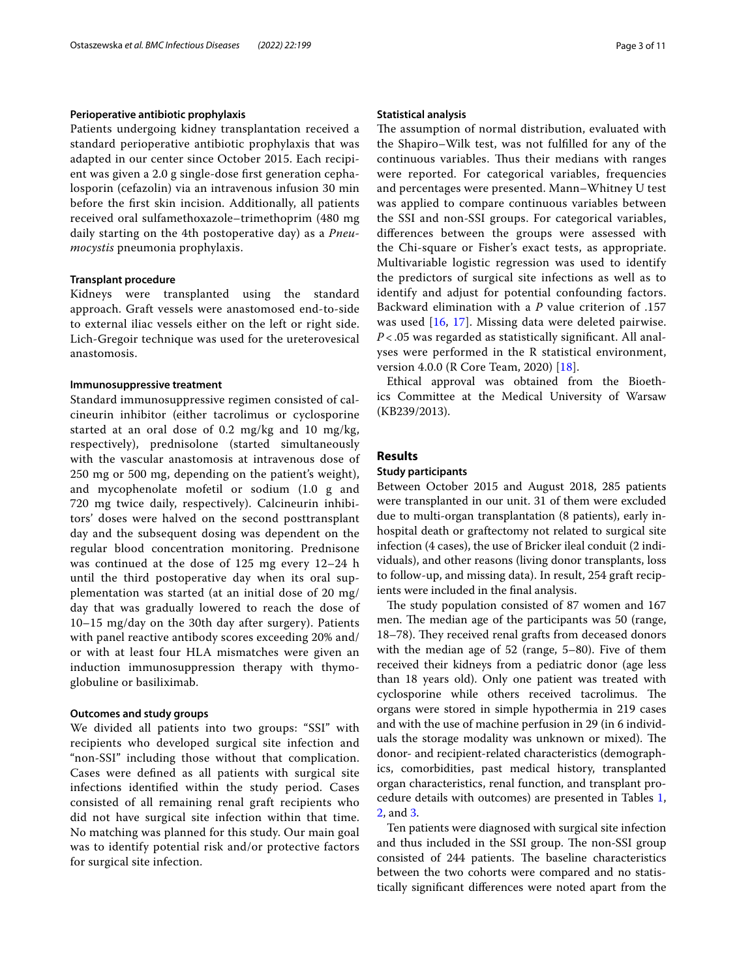# **Perioperative antibiotic prophylaxis**

Patients undergoing kidney transplantation received a standard perioperative antibiotic prophylaxis that was adapted in our center since October 2015. Each recipient was given a 2.0 g single-dose frst generation cephalosporin (cefazolin) via an intravenous infusion 30 min before the frst skin incision. Additionally, all patients received oral sulfamethoxazole–trimethoprim (480 mg daily starting on the 4th postoperative day) as a *Pneumocystis* pneumonia prophylaxis.

#### **Transplant procedure**

Kidneys were transplanted using the standard approach. Graft vessels were anastomosed end-to-side to external iliac vessels either on the left or right side. Lich-Gregoir technique was used for the ureterovesical anastomosis.

## **Immunosuppressive treatment**

Standard immunosuppressive regimen consisted of calcineurin inhibitor (either tacrolimus or cyclosporine started at an oral dose of 0.2 mg/kg and 10 mg/kg, respectively), prednisolone (started simultaneously with the vascular anastomosis at intravenous dose of 250 mg or 500 mg, depending on the patient's weight), and mycophenolate mofetil or sodium (1.0 g and 720 mg twice daily, respectively). Calcineurin inhibitors' doses were halved on the second posttransplant day and the subsequent dosing was dependent on the regular blood concentration monitoring. Prednisone was continued at the dose of 125 mg every 12–24 h until the third postoperative day when its oral supplementation was started (at an initial dose of 20 mg/ day that was gradually lowered to reach the dose of 10–15 mg/day on the 30th day after surgery). Patients with panel reactive antibody scores exceeding 20% and/ or with at least four HLA mismatches were given an induction immunosuppression therapy with thymoglobuline or basiliximab.

#### **Outcomes and study groups**

We divided all patients into two groups: "SSI" with recipients who developed surgical site infection and "non-SSI" including those without that complication. Cases were defned as all patients with surgical site infections identifed within the study period. Cases consisted of all remaining renal graft recipients who did not have surgical site infection within that time. No matching was planned for this study. Our main goal was to identify potential risk and/or protective factors for surgical site infection.

# **Statistical analysis**

The assumption of normal distribution, evaluated with the Shapiro–Wilk test, was not fulflled for any of the continuous variables. Thus their medians with ranges were reported. For categorical variables, frequencies and percentages were presented. Mann–Whitney U test was applied to compare continuous variables between the SSI and non-SSI groups. For categorical variables, diferences between the groups were assessed with the Chi-square or Fisher's exact tests, as appropriate. Multivariable logistic regression was used to identify the predictors of surgical site infections as well as to identify and adjust for potential confounding factors. Backward elimination with a *P* value criterion of .157 was used [\[16](#page-9-11), [17](#page-9-12)]. Missing data were deleted pairwise. *P* < .05 was regarded as statistically signifcant. All analyses were performed in the R statistical environment, version 4.0.0 (R Core Team, 2020) [[18\]](#page-9-13).

Ethical approval was obtained from the Bioethics Committee at the Medical University of Warsaw (KB239/2013).

## **Results**

# **Study participants**

Between October 2015 and August 2018, 285 patients were transplanted in our unit. 31 of them were excluded due to multi-organ transplantation (8 patients), early inhospital death or graftectomy not related to surgical site infection (4 cases), the use of Bricker ileal conduit (2 individuals), and other reasons (living donor transplants, loss to follow-up, and missing data). In result, 254 graft recipients were included in the fnal analysis.

The study population consisted of 87 women and 167 men. The median age of the participants was 50 (range, 18–78). They received renal grafts from deceased donors with the median age of 52 (range, 5–80). Five of them received their kidneys from a pediatric donor (age less than 18 years old). Only one patient was treated with cyclosporine while others received tacrolimus. The organs were stored in simple hypothermia in 219 cases and with the use of machine perfusion in 29 (in 6 individuals the storage modality was unknown or mixed). The donor- and recipient-related characteristics (demographics, comorbidities, past medical history, transplanted organ characteristics, renal function, and transplant procedure details with outcomes) are presented in Tables [1](#page-3-0), [2,](#page-4-0) and [3.](#page-5-0)

Ten patients were diagnosed with surgical site infection and thus included in the SSI group. The non-SSI group consisted of 244 patients. The baseline characteristics between the two cohorts were compared and no statistically signifcant diferences were noted apart from the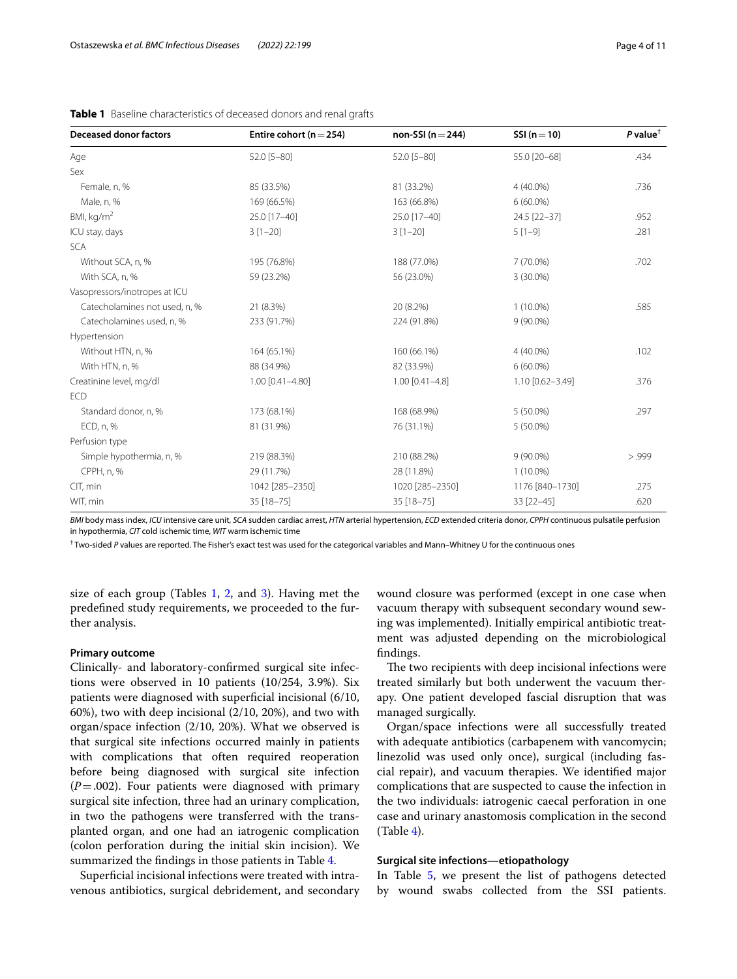| <b>Deceased donor factors</b> | Entire cohort ( $n = 254$ ) | non-SSI $(n=244)$     | $SSI (n=10)$     | $P$ value <sup><math>\dagger</math></sup> |
|-------------------------------|-----------------------------|-----------------------|------------------|-------------------------------------------|
| Age                           | 52.0 [5-80]                 | 52.0 [5-80]           | 55.0 [20-68]     | .434                                      |
| Sex                           |                             |                       |                  |                                           |
| Female, n, %                  | 85 (33.5%)                  | 81 (33.2%)            | 4 (40.0%)        | .736                                      |
| Male, n, %                    | 169 (66.5%)                 | 163 (66.8%)           | $6(60.0\%)$      |                                           |
| BMI, $kg/m2$                  | 25.0 [17-40]                | 25.0 [17-40]          | 24.5 [22-37]     | .952                                      |
| ICU stay, days                | $3[1-20]$                   | $3[1-20]$             | $5[1-9]$         | .281                                      |
| <b>SCA</b>                    |                             |                       |                  |                                           |
| Without SCA, n, %             | 195 (76.8%)                 | 188 (77.0%)           | 7 (70.0%)        | .702                                      |
| With SCA, n, %                | 59 (23.2%)                  | 56 (23.0%)            | 3 (30.0%)        |                                           |
| Vasopressors/inotropes at ICU |                             |                       |                  |                                           |
| Catecholamines not used, n, % | 21 (8.3%)                   | 20 (8.2%)             | $1(10.0\%)$      | .585                                      |
| Catecholamines used, n, %     | 233 (91.7%)                 | 224 (91.8%)           | $9(90.0\%)$      |                                           |
| Hypertension                  |                             |                       |                  |                                           |
| Without HTN, n, %             | 164 (65.1%)                 | 160 (66.1%)           | $4(40.0\%)$      | .102                                      |
| With HTN, n, %                | 88 (34.9%)                  | 82 (33.9%)            | $6(60.0\%)$      |                                           |
| Creatinine level, mg/dl       | 1.00 [0.41-4.80]            | $1.00$ $[0.41 - 4.8]$ | 1.10 [0.62-3.49] | .376                                      |
| <b>ECD</b>                    |                             |                       |                  |                                           |
| Standard donor, n, %          | 173 (68.1%)                 | 168 (68.9%)           | $5(50.0\%)$      | .297                                      |
| ECD, n, %                     | 81 (31.9%)                  | 76 (31.1%)            | $5(50.0\%)$      |                                           |
| Perfusion type                |                             |                       |                  |                                           |
| Simple hypothermia, n, %      | 219 (88.3%)                 | 210 (88.2%)           | $9(90.0\%)$      | > .999                                    |
| CPPH, n, %                    | 29 (11.7%)                  | 28 (11.8%)            | $1(10.0\%)$      |                                           |
| CIT, min                      | 1042 [285-2350]             | 1020 [285-2350]       | 1176 [840-1730]  | .275                                      |
| WIT, min                      | 35 [18-75]                  | 35 [18-75]            | 33 [22-45]       | .620                                      |

<span id="page-3-0"></span>

| Table 1 Baseline characteristics of deceased donors and renal grafts |  |
|----------------------------------------------------------------------|--|
|----------------------------------------------------------------------|--|

*BMI* body mass index, *ICU* intensive care unit, *SCA* sudden cardiac arrest, *HTN* arterial hypertension, *ECD* extended criteria donor, *CPPH* continuous pulsatile perfusion in hypothermia, *CIT* cold ischemic time, *WIT* warm ischemic time

† Two-sided *P* values are reported. The Fisher's exact test was used for the categorical variables and Mann–Whitney U for the continuous ones

size of each group (Tables [1,](#page-3-0) [2](#page-4-0), and [3\)](#page-5-0). Having met the predefned study requirements, we proceeded to the further analysis.

# **Primary outcome**

Clinically- and laboratory-confrmed surgical site infections were observed in 10 patients (10/254, 3.9%). Six patients were diagnosed with superfcial incisional (6/10, 60%), two with deep incisional (2/10, 20%), and two with organ/space infection (2/10, 20%). What we observed is that surgical site infections occurred mainly in patients with complications that often required reoperation before being diagnosed with surgical site infection  $(P=.002)$ . Four patients were diagnosed with primary surgical site infection, three had an urinary complication, in two the pathogens were transferred with the transplanted organ, and one had an iatrogenic complication (colon perforation during the initial skin incision). We summarized the fndings in those patients in Table [4.](#page-6-0)

Superficial incisional infections were treated with intravenous antibiotics, surgical debridement, and secondary

wound closure was performed (except in one case when vacuum therapy with subsequent secondary wound sewing was implemented). Initially empirical antibiotic treatment was adjusted depending on the microbiological fndings.

The two recipients with deep incisional infections were treated similarly but both underwent the vacuum therapy. One patient developed fascial disruption that was managed surgically.

Organ/space infections were all successfully treated with adequate antibiotics (carbapenem with vancomycin; linezolid was used only once), surgical (including fascial repair), and vacuum therapies. We identifed major complications that are suspected to cause the infection in the two individuals: iatrogenic caecal perforation in one case and urinary anastomosis complication in the second  $(Table 4).$  $(Table 4).$  $(Table 4).$ 

# **Surgical site infections—etiopathology**

In Table [5](#page-6-1), we present the list of pathogens detected by wound swabs collected from the SSI patients.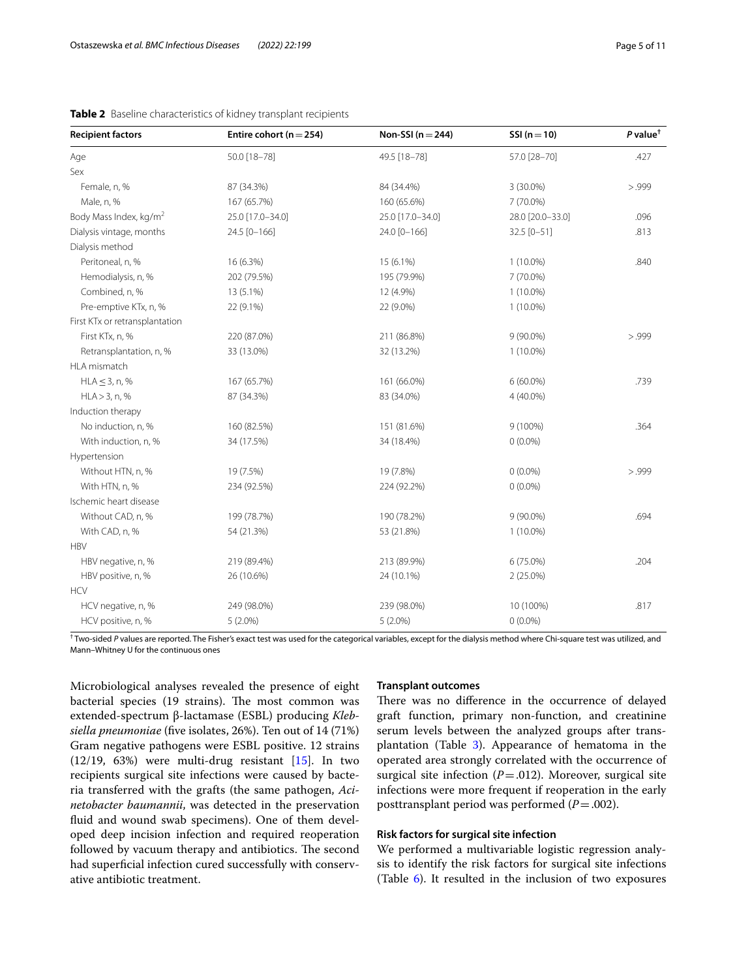| <b>Recipient factors</b>           | Entire cohort ( $n = 254$ ) | Non-SSI $(n=244)$ | $SSI (n=10)$     | $P$ value <sup>†</sup> |
|------------------------------------|-----------------------------|-------------------|------------------|------------------------|
| Age                                | 50.0 [18-78]                | 49.5 [18-78]      | 57.0 [28-70]     | .427                   |
| Sex                                |                             |                   |                  |                        |
| Female, n, %                       | 87 (34.3%)                  | 84 (34.4%)        | 3 (30.0%)        | > .999                 |
| Male, n, %                         | 167 (65.7%)                 | 160 (65.6%)       | 7 (70.0%)        |                        |
| Body Mass Index, kg/m <sup>2</sup> | 25.0 [17.0-34.0]            | 25.0 [17.0-34.0]  | 28.0 [20.0-33.0] | .096                   |
| Dialysis vintage, months           | 24.5 [0-166]                | 24.0 [0-166]      | 32.5 [0-51]      | .813                   |
| Dialysis method                    |                             |                   |                  |                        |
| Peritoneal, n, %                   | 16 (6.3%)                   | 15 (6.1%)         | $1(10.0\%)$      | .840                   |
| Hemodialysis, n, %                 | 202 (79.5%)                 | 195 (79.9%)       | 7 (70.0%)        |                        |
| Combined, n, %                     | 13 (5.1%)                   | 12 (4.9%)         | $1(10.0\%)$      |                        |
| Pre-emptive KTx, n, %              | 22 (9.1%)                   | 22 (9.0%)         | $1(10.0\%)$      |                        |
| First KTx or retransplantation     |                             |                   |                  |                        |
| First KTx, n, %                    | 220 (87.0%)                 | 211 (86.8%)       | $9(90.0\%)$      | > .999                 |
| Retransplantation, n, %            | 33 (13.0%)                  | 32 (13.2%)        | $1(10.0\%)$      |                        |
| HLA mismatch                       |                             |                   |                  |                        |
| $HLA \leq 3$ , n, %                | 167 (65.7%)                 | 161 (66.0%)       | $6(60.0\%)$      | .739                   |
| HLA > 3, n, %                      | 87 (34.3%)                  | 83 (34.0%)        | 4 (40.0%)        |                        |
| Induction therapy                  |                             |                   |                  |                        |
| No induction, n, %                 | 160 (82.5%)                 | 151 (81.6%)       | $9(100\%)$       | .364                   |
| With induction, n, %               | 34 (17.5%)                  | 34 (18.4%)        | $0(0.0\%)$       |                        |
| Hypertension                       |                             |                   |                  |                        |
| Without HTN, n, %                  | 19 (7.5%)                   | 19 (7.8%)         | $0(0.0\%)$       | > .999                 |
| With HTN, n, %                     | 234 (92.5%)                 | 224 (92.2%)       | $0(0.0\%)$       |                        |
| Ischemic heart disease             |                             |                   |                  |                        |
| Without CAD, n, %                  | 199 (78.7%)                 | 190 (78.2%)       | 9 (90.0%)        | .694                   |
| With CAD, n, %                     | 54 (21.3%)                  | 53 (21.8%)        | $1(10.0\%)$      |                        |
| <b>HBV</b>                         |                             |                   |                  |                        |
| HBV negative, n, %                 | 219 (89.4%)                 | 213 (89.9%)       | 6 (75.0%)        | .204                   |
| HBV positive, n, %                 | 26 (10.6%)                  | 24 (10.1%)        | $2(25.0\%)$      |                        |
| <b>HCV</b>                         |                             |                   |                  |                        |
| HCV negative, n, %                 | 249 (98.0%)                 | 239 (98.0%)       | 10 (100%)        | .817                   |
| HCV positive, n, %                 | $5(2.0\%)$                  | $5(2.0\%)$        | $0(0.0\%)$       |                        |

# <span id="page-4-0"></span>**Table 2** Baseline characteristics of kidney transplant recipients

<sup>†</sup> Two-sided *P* values are reported. The Fisher's exact test was used for the categorical variables, except for the dialysis method where Chi-square test was utilized, and Mann–Whitney U for the continuous ones

Microbiological analyses revealed the presence of eight bacterial species (19 strains). The most common was extended-spectrum β-lactamase (ESBL) producing *Klebsiella pneumoniae* (fve isolates, 26%). Ten out of 14 (71%) Gram negative pathogens were ESBL positive. 12 strains  $(12/19, 63%)$  were multi-drug resistant  $[15]$  $[15]$ . In two recipients surgical site infections were caused by bacteria transferred with the grafts (the same pathogen, *Acinetobacter baumannii*, was detected in the preservation fuid and wound swab specimens). One of them developed deep incision infection and required reoperation followed by vacuum therapy and antibiotics. The second had superficial infection cured successfully with conservative antibiotic treatment.

## **Transplant outcomes**

There was no difference in the occurrence of delayed graft function, primary non-function, and creatinine serum levels between the analyzed groups after transplantation (Table [3\)](#page-5-0). Appearance of hematoma in the operated area strongly correlated with the occurrence of surgical site infection  $(P=.012)$ . Moreover, surgical site infections were more frequent if reoperation in the early posttransplant period was performed (*P*=.002).

# **Risk factors for surgical site infection**

We performed a multivariable logistic regression analysis to identify the risk factors for surgical site infections (Table [6](#page-7-0)). It resulted in the inclusion of two exposures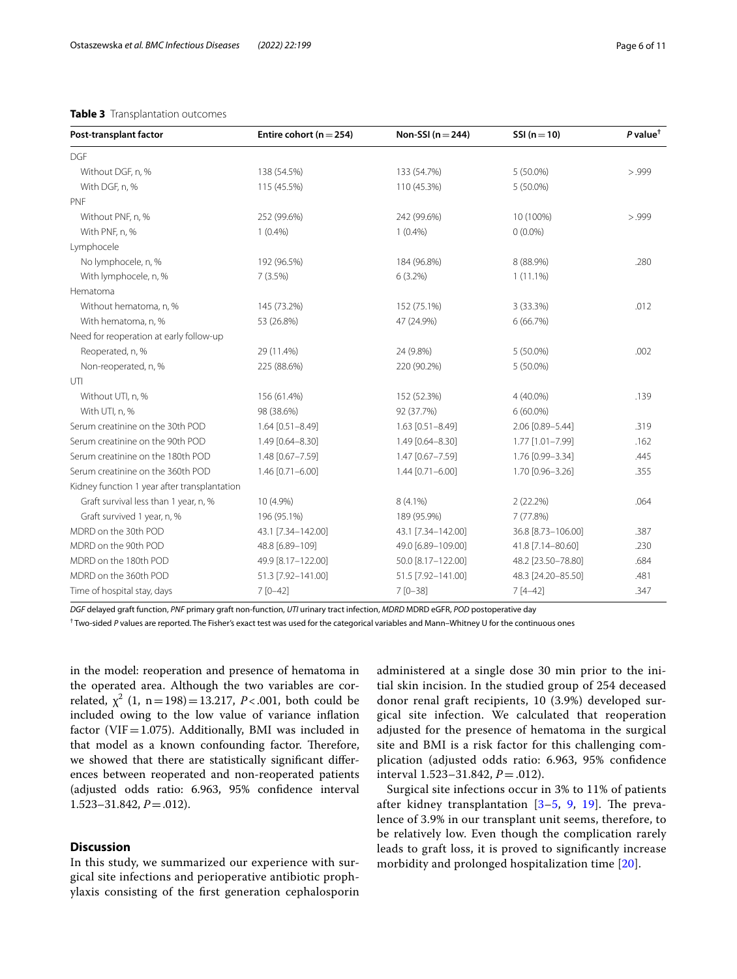#### <span id="page-5-0"></span>**Table 3** Transplantation outcomes

| Post-transplant factor                       | Entire cohort ( $n = 254$ ) | Non-SSI ( $n = 244$ ) | $SSI (n=10)$       | $P$ value <sup><math>\dagger</math></sup> |
|----------------------------------------------|-----------------------------|-----------------------|--------------------|-------------------------------------------|
| <b>DGF</b>                                   |                             |                       |                    |                                           |
| Without DGF, n, %                            | 138 (54.5%)                 | 133 (54.7%)           | $5(50.0\%)$        | > .999                                    |
| With DGF, n, %                               | 115 (45.5%)                 | 110 (45.3%)           | $5(50.0\%)$        |                                           |
| PNF                                          |                             |                       |                    |                                           |
| Without PNF, n, %                            | 252 (99.6%)                 | 242 (99.6%)           | 10 (100%)          | > .999                                    |
| With PNF, n, %                               | $1(0.4\%)$                  | $1(0.4\%)$            | $0(0.0\%)$         |                                           |
| Lymphocele                                   |                             |                       |                    |                                           |
| No lymphocele, n, %                          | 192 (96.5%)                 | 184 (96.8%)           | 8 (88.9%)          | .280                                      |
| With lymphocele, n, %                        | 7(3.5%)                     | $6(3.2\%)$            | $1(11.1\%)$        |                                           |
| Hematoma                                     |                             |                       |                    |                                           |
| Without hematoma, n, %                       | 145 (73.2%)                 | 152 (75.1%)           | 3 (33.3%)          | .012                                      |
| With hematoma, n, %                          | 53 (26.8%)                  | 47 (24.9%)            | 6(66.7%)           |                                           |
| Need for reoperation at early follow-up      |                             |                       |                    |                                           |
| Reoperated, n, %                             | 29 (11.4%)                  | 24 (9.8%)             | $5(50.0\%)$        | .002                                      |
| Non-reoperated, n, %                         | 225 (88.6%)                 | 220 (90.2%)           | 5 (50.0%)          |                                           |
| UTI                                          |                             |                       |                    |                                           |
| Without UTI, n, %                            | 156 (61.4%)                 | 152 (52.3%)           | 4 (40.0%)          | .139                                      |
| With UTI, n, %                               | 98 (38.6%)                  | 92 (37.7%)            | $6(60.0\%)$        |                                           |
| Serum creatinine on the 30th POD             | $1.64$ [0.51-8.49]          | $1.63$ [0.51-8.49]    | 2.06 [0.89-5.44]   | .319                                      |
| Serum creatinine on the 90th POD             | 1.49 [0.64-8.30]            | 1.49 [0.64-8.30]      | 1.77 [1.01-7.99]   | .162                                      |
| Serum creatinine on the 180th POD            | 1.48 [0.67-7.59]            | 1.47 [0.67-7.59]      | 1.76 [0.99-3.34]   | .445                                      |
| Serum creatinine on the 360th POD            | $1.46$ [0.71-6.00]          | 1.44 [0.71-6.00]      | 1.70 [0.96-3.26]   | .355                                      |
| Kidney function 1 year after transplantation |                             |                       |                    |                                           |
| Graft survival less than 1 year, n, %        | 10 (4.9%)                   | 8 (4.1%)              | 2(22.2%)           | .064                                      |
| Graft survived 1 year, n, %                  | 196 (95.1%)                 | 189 (95.9%)           | 7 (77.8%)          |                                           |
| MDRD on the 30th POD                         | 43.1 [7.34-142.00]          | 43.1 [7.34-142.00]    | 36.8 [8.73-106.00] | .387                                      |
| MDRD on the 90th POD                         | 48.8 [6.89-109]             | 49.0 [6.89-109.00]    | 41.8 [7.14-80.60]  | .230                                      |
| MDRD on the 180th POD                        | 49.9 [8.17-122.00]          | 50.0 [8.17-122.00]    | 48.2 [23.50-78.80] | .684                                      |
| MDRD on the 360th POD                        | 51.3 [7.92-141.00]          | 51.5 [7.92-141.00]    | 48.3 [24.20-85.50] | .481                                      |
| Time of hospital stay, days                  | $7[0-42]$                   | $7[0-38]$             | $7[4-42]$          | .347                                      |

*DGF* delayed graft function, *PNF* primary graft non-function, *UTI* urinary tract infection, *MDRD* MDRD eGFR, *POD* postoperative day

† Two-sided *P* values are reported. The Fisher's exact test was used for the categorical variables and Mann–Whitney U for the continuous ones

in the model: reoperation and presence of hematoma in the operated area. Although the two variables are correlated,  $\chi^2$  (1, n = 198) = 13.217, *P*<.001, both could be included owing to the low value of variance infation factor (VIF $=$ 1.075). Additionally, BMI was included in that model as a known confounding factor. Therefore, we showed that there are statistically signifcant diferences between reoperated and non-reoperated patients (adjusted odds ratio: 6.963, 95% confdence interval 1.523–31.842, *P*=.012).

# **Discussion**

In this study, we summarized our experience with surgical site infections and perioperative antibiotic prophylaxis consisting of the frst generation cephalosporin administered at a single dose 30 min prior to the initial skin incision. In the studied group of 254 deceased donor renal graft recipients, 10 (3.9%) developed surgical site infection. We calculated that reoperation adjusted for the presence of hematoma in the surgical site and BMI is a risk factor for this challenging complication (adjusted odds ratio: 6.963, 95% confdence interval 1.523–31.842, *P*=.012).

Surgical site infections occur in 3% to 11% of patients after kidney transplantation  $[3-5, 9, 19]$  $[3-5, 9, 19]$  $[3-5, 9, 19]$  $[3-5, 9, 19]$  $[3-5, 9, 19]$  $[3-5, 9, 19]$  $[3-5, 9, 19]$  $[3-5, 9, 19]$ . The prevalence of 3.9% in our transplant unit seems, therefore, to be relatively low. Even though the complication rarely leads to graft loss, it is proved to signifcantly increase morbidity and prolonged hospitalization time [[20\]](#page-9-15).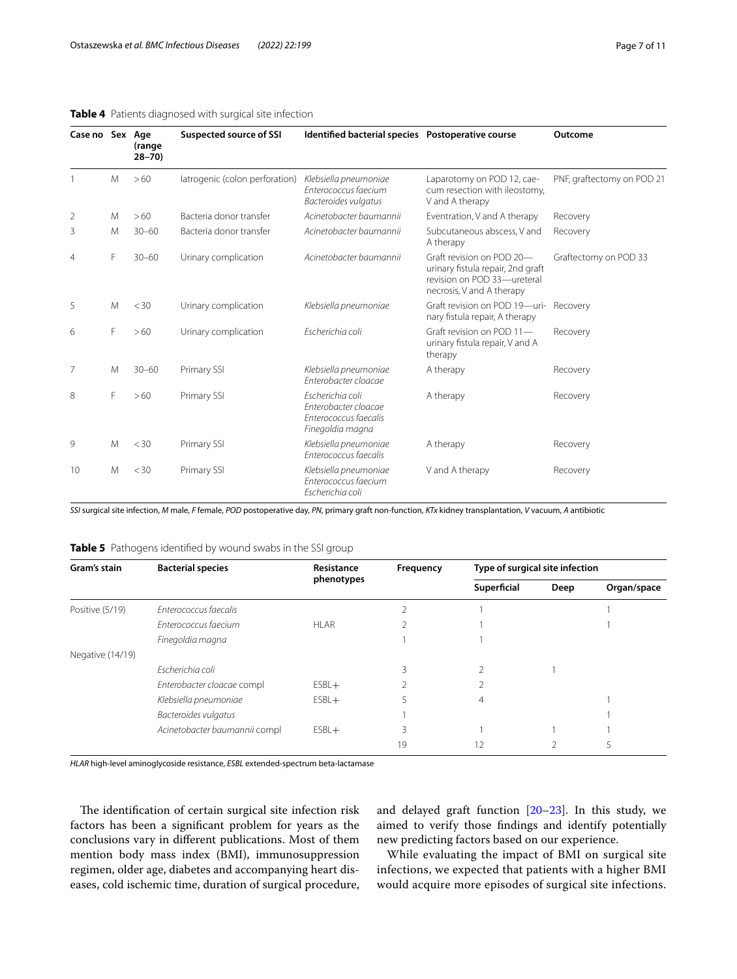# <span id="page-6-0"></span>**Table 4** Patients diagnosed with surgical site infection

| Case no Sex Age |   | (range<br>$28 - 70$ | <b>Suspected source of SSI</b> | Identified bacterial species Postoperative course                                     |                                                                                                                            | Outcome                    |
|-----------------|---|---------------------|--------------------------------|---------------------------------------------------------------------------------------|----------------------------------------------------------------------------------------------------------------------------|----------------------------|
|                 | M | >60                 | latrogenic (colon perforation) | Klebsiella pneumoniae<br>Enterococcus faecium<br>Bacteroides vulgatus                 | Laparotomy on POD 12, cae-<br>cum resection with ileostomy,<br>V and A therapy                                             | PNF, graftectomy on POD 21 |
| 2               | M | >60                 | Bacteria donor transfer        | Acinetobacter baumannii                                                               | Eventration, V and A therapy                                                                                               | Recovery                   |
| 3               | M | $30 - 60$           | Bacteria donor transfer        | Acinetobacter baumannii                                                               | Subcutaneous abscess, V and<br>A therapy                                                                                   | Recovery                   |
| $\overline{4}$  | F | $30 - 60$           | Urinary complication           | Acinetobacter baumannii                                                               | Graft revision on POD 20-<br>urinary fistula repair, 2nd graft<br>revision on POD 33-ureteral<br>necrosis, V and A therapy | Graftectomy on POD 33      |
| 5               | M | $<$ 30              | Urinary complication           | Klebsiella pneumoniae                                                                 | Graft revision on POD 19-uri-<br>nary fistula repair, A therapy                                                            | Recovery                   |
| 6               | F | >60                 | Urinary complication           | Escherichia coli                                                                      | Graft revision on POD 11-<br>urinary fistula repair, V and A<br>therapy                                                    | Recovery                   |
| 7               | M | $30 - 60$           | Primary SSI                    | Klebsiella pneumoniae<br>Enterobacter cloacae                                         | A therapy                                                                                                                  | Recovery                   |
| 8               | F | >60                 | Primary SSI                    | Escherichia coli<br>Enterobacter cloacae<br>Enterococcus faecalis<br>Finegoldia magna | A therapy                                                                                                                  | Recovery                   |
| 9               | M | $<$ 30              | Primary SSI                    | Klebsiella pneumoniae<br>Enterococcus faecalis                                        | A therapy                                                                                                                  | Recovery                   |
| 10              | M | $<$ 30              | Primary SSI                    | Klebsiella pneumoniae<br>Enterococcus faecium<br>Escherichia coli                     | V and A therapy                                                                                                            | Recovery                   |

*SSI* surgical site infection, *M* male, *F* female, *POD* postoperative day, *PN*, primary graft non-function, *KTx* kidney transplantation, *V* vacuum, *A* antibiotic

<span id="page-6-1"></span>

| Table 5 Pathogens identified by wound swabs in the SSI group |  |  |  |
|--------------------------------------------------------------|--|--|--|
|                                                              |  |  |  |

| Gram's stain     | <b>Bacterial species</b>      | Resistance | Frequency | Type of surgical site infection |      |             |
|------------------|-------------------------------|------------|-----------|---------------------------------|------|-------------|
|                  |                               | phenotypes |           | Superficial                     | Deep | Organ/space |
| Positive (5/19)  | Enterococcus faecalis         |            |           |                                 |      |             |
|                  | Enterococcus faecium          | HI AR      |           |                                 |      |             |
|                  | Finegoldia magna              |            |           |                                 |      |             |
| Negative (14/19) |                               |            |           |                                 |      |             |
|                  | Escherichia coli              |            |           |                                 |      |             |
|                  | Enterobacter cloacae compl    | $ESBL+$    |           |                                 |      |             |
|                  | Klebsiella pneumoniae         | $ESBL+$    |           | $\overline{4}$                  |      |             |
|                  | Bacteroides vulgatus          |            |           |                                 |      |             |
|                  | Acinetobacter baumannii compl | $ESBL+$    | 3         |                                 |      |             |
|                  |                               |            | 19        | 12                              |      |             |

*HLAR* high-level aminoglycoside resistance, *ESBL* extended-spectrum beta-lactamase

The identification of certain surgical site infection risk factors has been a signifcant problem for years as the conclusions vary in diferent publications. Most of them mention body mass index (BMI), immunosuppression regimen, older age, diabetes and accompanying heart diseases, cold ischemic time, duration of surgical procedure, and delayed graft function  $[20-23]$  $[20-23]$ . In this study, we aimed to verify those fndings and identify potentially new predicting factors based on our experience.

While evaluating the impact of BMI on surgical site infections, we expected that patients with a higher BMI would acquire more episodes of surgical site infections.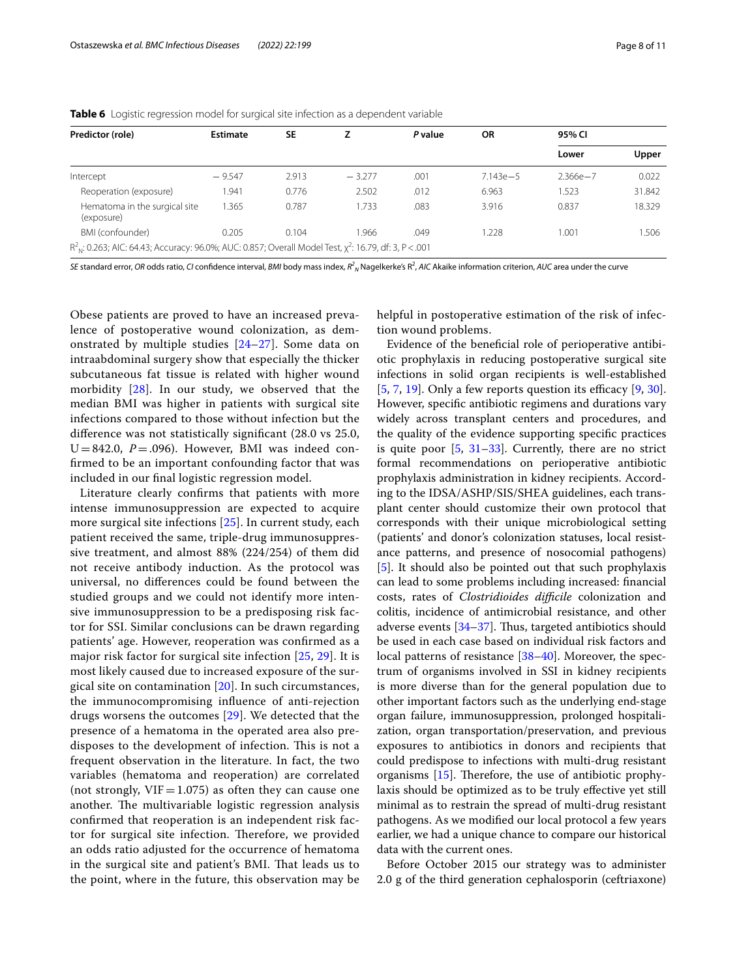| Predictor (role)                                                                                              | Estimate | <b>SE</b><br>P value | <b>OR</b> | 95% CI |              |              |        |
|---------------------------------------------------------------------------------------------------------------|----------|----------------------|-----------|--------|--------------|--------------|--------|
|                                                                                                               |          |                      |           |        |              | Lower        | Upper  |
| Intercept                                                                                                     | $-9.547$ | 2.913                | $-3.277$  | .001   | $7.143e - 5$ | $2.366e - 7$ | 0.022  |
| Reoperation (exposure)                                                                                        | 1.941    | 0.776                | 2.502     | .012   | 6.963        | 1.523        | 31.842 |
| Hematoma in the surgical site<br>(exposure)                                                                   | 1.365    | 0.787                | 1.733     | .083   | 3.916        | 0.837        | 18.329 |
| BMI (confounder)                                                                                              | 0.205    | 0.104                | 1.966     | .049   | 1.228        | 1.001        | 1.506  |
| $R2N$ : 0.263; AIC: 64.43; Accuracy: 96.0%; AUC: 0.857; Overall Model Test, $\chi^2$ : 16.79, df: 3, P < .001 |          |                      |           |        |              |              |        |

<span id="page-7-0"></span>**Table 6** Logistic regression model for surgical site infection as a dependent variable

*SE* standard error, *OR* odds ratio, *CI* confidence interval, *BMI* body mass index,  $R^2_{~N}$ Nagelkerke's R $^2$ , *AIC* Akaike information criterion, *AUC* area under the curve

Obese patients are proved to have an increased prevalence of postoperative wound colonization, as demonstrated by multiple studies [[24–](#page-9-17)[27](#page-9-18)]. Some data on intraabdominal surgery show that especially the thicker subcutaneous fat tissue is related with higher wound morbidity [\[28\]](#page-9-19). In our study, we observed that the median BMI was higher in patients with surgical site infections compared to those without infection but the difference was not statistically significant (28.0 vs 25.0,  $U=842.0$ ,  $P=.096$ ). However, BMI was indeed confrmed to be an important confounding factor that was included in our fnal logistic regression model.

Literature clearly confrms that patients with more intense immunosuppression are expected to acquire more surgical site infections [[25\]](#page-9-20). In current study, each patient received the same, triple-drug immunosuppressive treatment, and almost 88% (224/254) of them did not receive antibody induction. As the protocol was universal, no diferences could be found between the studied groups and we could not identify more intensive immunosuppression to be a predisposing risk factor for SSI. Similar conclusions can be drawn regarding patients' age. However, reoperation was confrmed as a major risk factor for surgical site infection [\[25](#page-9-20), [29](#page-9-21)]. It is most likely caused due to increased exposure of the surgical site on contamination [\[20](#page-9-15)]. In such circumstances, the immunocompromising infuence of anti-rejection drugs worsens the outcomes [\[29\]](#page-9-21). We detected that the presence of a hematoma in the operated area also predisposes to the development of infection. This is not a frequent observation in the literature. In fact, the two variables (hematoma and reoperation) are correlated (not strongly,  $VIF = 1.075$ ) as often they can cause one another. The multivariable logistic regression analysis confrmed that reoperation is an independent risk factor for surgical site infection. Therefore, we provided an odds ratio adjusted for the occurrence of hematoma in the surgical site and patient's BMI. That leads us to the point, where in the future, this observation may be helpful in postoperative estimation of the risk of infection wound problems.

Evidence of the benefcial role of perioperative antibiotic prophylaxis in reducing postoperative surgical site infections in solid organ recipients is well-established  $[5, 7, 19]$  $[5, 7, 19]$  $[5, 7, 19]$  $[5, 7, 19]$  $[5, 7, 19]$  $[5, 7, 19]$ . Only a few reports question its efficacy  $[9, 30]$  $[9, 30]$  $[9, 30]$  $[9, 30]$ . However, specifc antibiotic regimens and durations vary widely across transplant centers and procedures, and the quality of the evidence supporting specifc practices is quite poor  $[5, 31-33]$  $[5, 31-33]$  $[5, 31-33]$  $[5, 31-33]$ . Currently, there are no strict formal recommendations on perioperative antibiotic prophylaxis administration in kidney recipients. According to the IDSA/ASHP/SIS/SHEA guidelines, each transplant center should customize their own protocol that corresponds with their unique microbiological setting (patients' and donor's colonization statuses, local resistance patterns, and presence of nosocomial pathogens) [[5\]](#page-9-0). It should also be pointed out that such prophylaxis can lead to some problems including increased: fnancial costs, rates of *Clostridioides difficile* colonization and colitis, incidence of antimicrobial resistance, and other adverse events [\[34](#page-9-25)[–37\]](#page-9-26). Thus, targeted antibiotics should be used in each case based on individual risk factors and local patterns of resistance [[38–](#page-9-27)[40](#page-9-28)]. Moreover, the spectrum of organisms involved in SSI in kidney recipients is more diverse than for the general population due to other important factors such as the underlying end‐stage organ failure, immunosuppression, prolonged hospitalization, organ transportation/preservation, and previous exposures to antibiotics in donors and recipients that could predispose to infections with multi-drug resistant organisms  $[15]$  $[15]$ . Therefore, the use of antibiotic prophylaxis should be optimized as to be truly efective yet still minimal as to restrain the spread of multi-drug resistant pathogens. As we modifed our local protocol a few years earlier, we had a unique chance to compare our historical data with the current ones.

Before October 2015 our strategy was to administer 2.0 g of the third generation cephalosporin (ceftriaxone)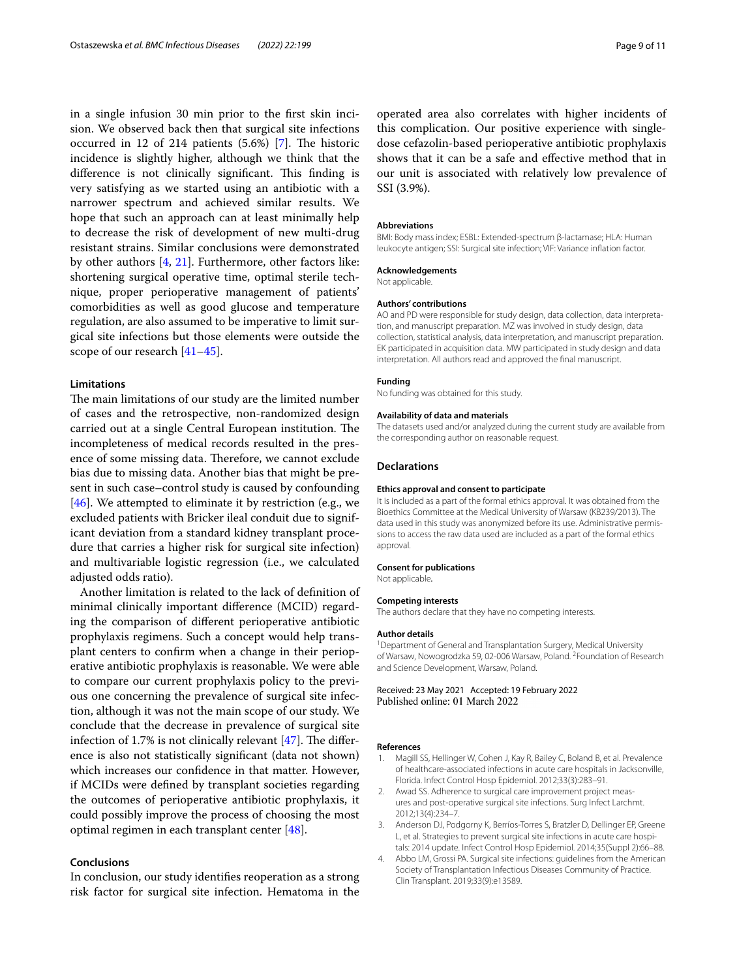in a single infusion 30 min prior to the frst skin incision. We observed back then that surgical site infections occurred in 12 of 214 patients  $(5.6%)$  [\[7](#page-9-2)]. The historic incidence is slightly higher, although we think that the difference is not clinically significant. This finding is very satisfying as we started using an antibiotic with a narrower spectrum and achieved similar results. We hope that such an approach can at least minimally help to decrease the risk of development of new multi-drug resistant strains. Similar conclusions were demonstrated by other authors [[4,](#page-8-2) [21\]](#page-9-29). Furthermore, other factors like: shortening surgical operative time, optimal sterile technique, proper perioperative management of patients' comorbidities as well as good glucose and temperature regulation, are also assumed to be imperative to limit surgical site infections but those elements were outside the scope of our research [\[41](#page-9-30)–[45\]](#page-9-31).

# **Limitations**

The main limitations of our study are the limited number of cases and the retrospective, non-randomized design carried out at a single Central European institution. The incompleteness of medical records resulted in the presence of some missing data. Therefore, we cannot exclude bias due to missing data. Another bias that might be present in such case–control study is caused by confounding [[46\]](#page-10-0). We attempted to eliminate it by restriction (e.g., we excluded patients with Bricker ileal conduit due to significant deviation from a standard kidney transplant procedure that carries a higher risk for surgical site infection) and multivariable logistic regression (i.e., we calculated adjusted odds ratio).

Another limitation is related to the lack of defnition of minimal clinically important diference (MCID) regarding the comparison of diferent perioperative antibiotic prophylaxis regimens. Such a concept would help transplant centers to confrm when a change in their perioperative antibiotic prophylaxis is reasonable. We were able to compare our current prophylaxis policy to the previous one concerning the prevalence of surgical site infection, although it was not the main scope of our study. We conclude that the decrease in prevalence of surgical site infection of 1.7% is not clinically relevant  $[47]$  $[47]$ . The difference is also not statistically signifcant (data not shown) which increases our confdence in that matter. However, if MCIDs were defned by transplant societies regarding the outcomes of perioperative antibiotic prophylaxis, it could possibly improve the process of choosing the most optimal regimen in each transplant center [\[48](#page-10-2)].

# **Conclusions**

In conclusion, our study identifes reoperation as a strong risk factor for surgical site infection. Hematoma in the

#### **Abbreviations**

SSI (3.9%).

BMI: Body mass index; ESBL: Extended-spectrum β-lactamase; HLA: Human leukocyte antigen; SSI: Surgical site infection; VIF: Variance infation factor.

#### **Acknowledgements**

Not applicable.

#### **Authors' contributions**

AO and PD were responsible for study design, data collection, data interpretation, and manuscript preparation. MZ was involved in study design, data collection, statistical analysis, data interpretation, and manuscript preparation. EK participated in acquisition data. MW participated in study design and data interpretation. All authors read and approved the fnal manuscript.

#### **Funding**

No funding was obtained for this study.

# **Availability of data and materials**

The datasets used and/or analyzed during the current study are available from the corresponding author on reasonable request.

#### **Declarations**

#### **Ethics approval and consent to participate**

It is included as a part of the formal ethics approval. It was obtained from the Bioethics Committee at the Medical University of Warsaw (KB239/2013). The data used in this study was anonymized before its use. Administrative permissions to access the raw data used are included as a part of the formal ethics approval.

#### **Consent for publications**

Not applicable*.*

#### **Competing interests**

The authors declare that they have no competing interests.

#### **Author details**

<sup>1</sup> Department of General and Transplantation Surgery, Medical University of Warsaw, Nowogrodzka 59, 02-006 Warsaw, Poland. <sup>2</sup> Foundation of Research and Science Development, Warsaw, Poland.

Received: 23 May 2021 Accepted: 19 February 2022 Published online: 01 March 2022

#### **References**

- <span id="page-8-0"></span>1. Magill SS, Hellinger W, Cohen J, Kay R, Bailey C, Boland B, et al. Prevalence of healthcare-associated infections in acute care hospitals in Jacksonville, Florida. Infect Control Hosp Epidemiol. 2012;33(3):283–91.
- 2. Awad SS. Adherence to surgical care improvement project measures and post-operative surgical site infections. Surg Infect Larchmt. 2012;13(4):234–7.
- <span id="page-8-1"></span>3. Anderson DJ, Podgorny K, Berríos-Torres S, Bratzler D, Dellinger EP, Greene L, et al. Strategies to prevent surgical site infections in acute care hospitals: 2014 update. Infect Control Hosp Epidemiol. 2014;35(Suppl 2):66–88.
- <span id="page-8-2"></span>4. Abbo LM, Grossi PA. Surgical site infections: guidelines from the American Society of Transplantation Infectious Diseases Community of Practice. Clin Transplant. 2019;33(9):e13589.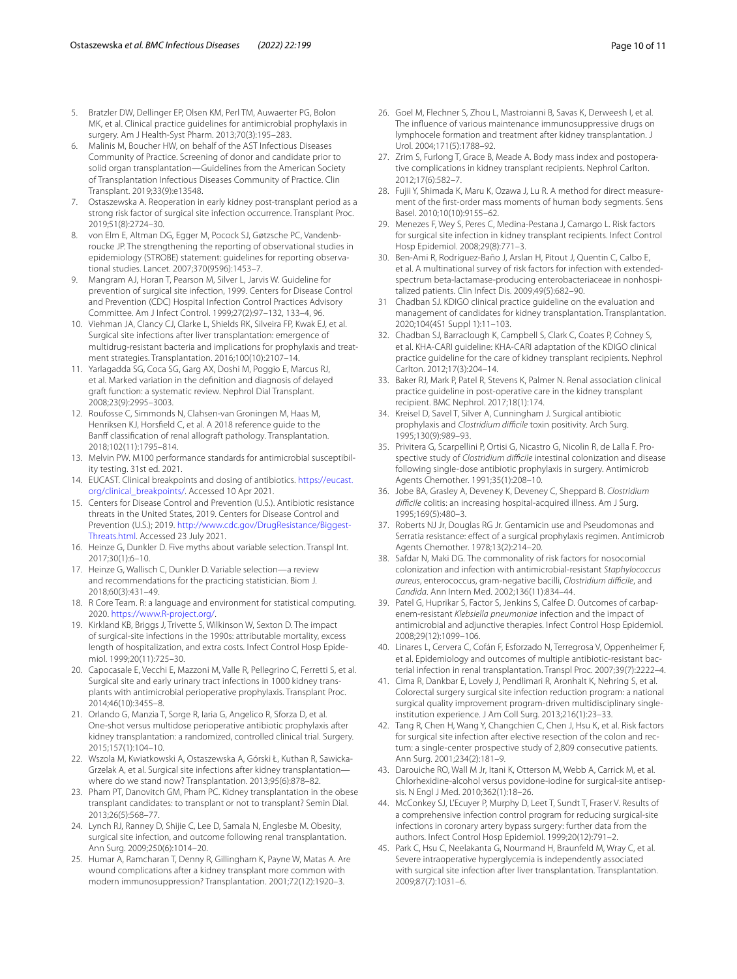- <span id="page-9-0"></span>5. Bratzler DW, Dellinger EP, Olsen KM, Perl TM, Auwaerter PG, Bolon MK, et al. Clinical practice guidelines for antimicrobial prophylaxis in surgery. Am J Health-Syst Pharm. 2013;70(3):195–283.
- <span id="page-9-1"></span>6. Malinis M, Boucher HW, on behalf of the AST Infectious Diseases Community of Practice. Screening of donor and candidate prior to solid organ transplantation—Guidelines from the American Society of Transplantation Infectious Diseases Community of Practice. Clin Transplant. 2019;33(9):e13548.
- <span id="page-9-2"></span>7. Ostaszewska A. Reoperation in early kidney post-transplant period as a strong risk factor of surgical site infection occurrence. Transplant Proc. 2019;51(8):2724–30.
- <span id="page-9-3"></span>8. von Elm E, Altman DG, Egger M, Pocock SJ, Gøtzsche PC, Vandenbroucke JP. The strengthening the reporting of observational studies in epidemiology (STROBE) statement: guidelines for reporting observational studies. Lancet. 2007;370(9596):1453–7.
- <span id="page-9-4"></span>9. Mangram AJ, Horan T, Pearson M, Silver L, Jarvis W. Guideline for prevention of surgical site infection, 1999. Centers for Disease Control and Prevention (CDC) Hospital Infection Control Practices Advisory Committee. Am J Infect Control. 1999;27(2):97–132, 133–4, 96.
- <span id="page-9-5"></span>10. Viehman JA, Clancy CJ, Clarke L, Shields RK, Silveira FP, Kwak EJ, et al. Surgical site infections after liver transplantation: emergence of multidrug-resistant bacteria and implications for prophylaxis and treatment strategies. Transplantation. 2016;100(10):2107–14.
- <span id="page-9-6"></span>11. Yarlagadda SG, Coca SG, Garg AX, Doshi M, Poggio E, Marcus RJ, et al. Marked variation in the defnition and diagnosis of delayed graft function: a systematic review. Nephrol Dial Transplant. 2008;23(9):2995–3003.
- <span id="page-9-7"></span>12. Roufosse C, Simmonds N, Clahsen-van Groningen M, Haas M, Henriksen KJ, Horsfeld C, et al. A 2018 reference guide to the Banff classification of renal allograft pathology. Transplantation. 2018;102(11):1795–814.
- <span id="page-9-8"></span>13. Melvin PW. M100 performance standards for antimicrobial susceptibility testing. 31st ed. 2021.
- <span id="page-9-9"></span>14. EUCAST. Clinical breakpoints and dosing of antibiotics. [https://eucast.](https://eucast.org/clinical_breakpoints/) [org/clinical\\_breakpoints/](https://eucast.org/clinical_breakpoints/). Accessed 10 Apr 2021.
- <span id="page-9-10"></span>15. Centers for Disease Control and Prevention (U.S.). Antibiotic resistance threats in the United States, 2019. Centers for Disease Control and Prevention (U.S.); 2019. [http://www.cdc.gov/DrugResistance/Biggest-](http://www.cdc.gov/DrugResistance/Biggest-Threats.html)[Threats.html.](http://www.cdc.gov/DrugResistance/Biggest-Threats.html) Accessed 23 July 2021.
- <span id="page-9-11"></span>16. Heinze G, Dunkler D. Five myths about variable selection. Transpl Int. 2017;30(1):6–10.
- <span id="page-9-12"></span>17. Heinze G, Wallisch C, Dunkler D. Variable selection—a review and recommendations for the practicing statistician. Biom J. 2018;60(3):431–49.
- <span id="page-9-13"></span>18. R Core Team. R: a language and environment for statistical computing. 2020. [https://www.R-project.org/.](https://www.R-project.org/)
- <span id="page-9-14"></span>19. Kirkland KB, Briggs J, Trivette S, Wilkinson W, Sexton D. The impact of surgical-site infections in the 1990s: attributable mortality, excess length of hospitalization, and extra costs. Infect Control Hosp Epidemiol. 1999;20(11):725–30.
- <span id="page-9-15"></span>20. Capocasale E, Vecchi E, Mazzoni M, Valle R, Pellegrino C, Ferretti S, et al. Surgical site and early urinary tract infections in 1000 kidney transplants with antimicrobial perioperative prophylaxis. Transplant Proc. 2014;46(10):3455–8.
- <span id="page-9-29"></span>21. Orlando G, Manzia T, Sorge R, Iaria G, Angelico R, Sforza D, et al. One-shot versus multidose perioperative antibiotic prophylaxis after kidney transplantation: a randomized, controlled clinical trial. Surgery. 2015;157(1):104–10.
- 22. Wszola M, Kwiatkowski A, Ostaszewska A, Górski Ł, Kuthan R, Sawicka-Grzelak A, et al. Surgical site infections after kidney transplantation where do we stand now? Transplantation. 2013;95(6):878–82.
- <span id="page-9-16"></span>23. Pham PT, Danovitch GM, Pham PC. Kidney transplantation in the obese transplant candidates: to transplant or not to transplant? Semin Dial. 2013;26(5):568–77.
- <span id="page-9-17"></span>24. Lynch RJ, Ranney D, Shijie C, Lee D, Samala N, Englesbe M. Obesity, surgical site infection, and outcome following renal transplantation. Ann Surg. 2009;250(6):1014–20.
- <span id="page-9-20"></span>25. Humar A, Ramcharan T, Denny R, Gillingham K, Payne W, Matas A. Are wound complications after a kidney transplant more common with modern immunosuppression? Transplantation. 2001;72(12):1920–3.
- 26. Goel M, Flechner S, Zhou L, Mastroianni B, Savas K, Derweesh I, et al. The infuence of various maintenance immunosuppressive drugs on lymphocele formation and treatment after kidney transplantation. J Urol. 2004;171(5):1788–92.
- <span id="page-9-18"></span>27. Zrim S, Furlong T, Grace B, Meade A. Body mass index and postoperative complications in kidney transplant recipients. Nephrol Carlton. 2012;17(6):582–7.
- <span id="page-9-19"></span>28. Fujii Y, Shimada K, Maru K, Ozawa J, Lu R. A method for direct measurement of the frst-order mass moments of human body segments. Sens Basel. 2010;10(10):9155–62.
- <span id="page-9-21"></span>29. Menezes F, Wey S, Peres C, Medina-Pestana J, Camargo L. Risk factors for surgical site infection in kidney transplant recipients. Infect Control Hosp Epidemiol. 2008;29(8):771–3.
- <span id="page-9-22"></span>30. Ben-Ami R, Rodríguez-Baño J, Arslan H, Pitout J, Quentin C, Calbo E, et al. A multinational survey of risk factors for infection with extendedspectrum beta-lactamase-producing enterobacteriaceae in nonhospitalized patients. Clin Infect Dis. 2009;49(5):682–90.
- <span id="page-9-23"></span>31 Chadban SJ. KDIGO clinical practice guideline on the evaluation and management of candidates for kidney transplantation. Transplantation. 2020;104(4S1 Suppl 1):11–103.
- 32. Chadban SJ, Barraclough K, Campbell S, Clark C, Coates P, Cohney S, et al. KHA-CARI guideline: KHA-CARI adaptation of the KDIGO clinical practice guideline for the care of kidney transplant recipients. Nephrol Carlton. 2012;17(3):204–14.
- <span id="page-9-24"></span>33. Baker RJ, Mark P, Patel R, Stevens K, Palmer N. Renal association clinical practice guideline in post-operative care in the kidney transplant recipient. BMC Nephrol. 2017;18(1):174.
- <span id="page-9-25"></span>34. Kreisel D, Savel T, Silver A, Cunningham J. Surgical antibiotic prophylaxis and *Clostridium difcile* toxin positivity. Arch Surg. 1995;130(9):989–93.
- 35. Privitera G, Scarpellini P, Ortisi G, Nicastro G, Nicolin R, de Lalla F. Prospective study of *Clostridium difcile* intestinal colonization and disease following single-dose antibiotic prophylaxis in surgery. Antimicrob Agents Chemother. 1991;35(1):208–10.
- 36. Jobe BA, Grasley A, Deveney K, Deveney C, Sheppard B. *Clostridium difcile* colitis: an increasing hospital-acquired illness. Am J Surg. 1995;169(5):480–3.
- <span id="page-9-26"></span>37. Roberts NJ Jr, Douglas RG Jr. Gentamicin use and Pseudomonas and Serratia resistance: effect of a surgical prophylaxis regimen. Antimicrob Agents Chemother. 1978;13(2):214–20.
- <span id="page-9-27"></span>38. Safdar N, Maki DG. The commonality of risk factors for nosocomial colonization and infection with antimicrobial-resistant *Staphylococcus aureus*, enterococcus, gram-negative bacilli, *Clostridium difcile*, and *Candida*. Ann Intern Med. 2002;136(11):834–44.
- 39. Patel G, Huprikar S, Factor S, Jenkins S, Calfee D. Outcomes of carbapenem-resistant *Klebsiella pneumoniae* infection and the impact of antimicrobial and adjunctive therapies. Infect Control Hosp Epidemiol. 2008;29(12):1099–106.
- <span id="page-9-28"></span>40. Linares L, Cervera C, Cofán F, Esforzado N, Terregrosa V, Oppenheimer F, et al. Epidemiology and outcomes of multiple antibiotic-resistant bacterial infection in renal transplantation. Transpl Proc. 2007;39(7):2222–4.
- <span id="page-9-30"></span>41. Cima R, Dankbar E, Lovely J, Pendlimari R, Aronhalt K, Nehring S, et al. Colorectal surgery surgical site infection reduction program: a national surgical quality improvement program-driven multidisciplinary singleinstitution experience. J Am Coll Surg. 2013;216(1):23–33.
- 42. Tang R, Chen H, Wang Y, Changchien C, Chen J, Hsu K, et al. Risk factors for surgical site infection after elective resection of the colon and rectum: a single-center prospective study of 2,809 consecutive patients. Ann Surg. 2001;234(2):181–9.
- 43. Darouiche RO, Wall M Jr, Itani K, Otterson M, Webb A, Carrick M, et al. Chlorhexidine-alcohol versus povidone-iodine for surgical-site antisepsis. N Engl J Med. 2010;362(1):18–26.
- 44. McConkey SJ, L'Ecuyer P, Murphy D, Leet T, Sundt T, Fraser V. Results of a comprehensive infection control program for reducing surgical-site infections in coronary artery bypass surgery: further data from the authors. Infect Control Hosp Epidemiol. 1999;20(12):791–2.
- <span id="page-9-31"></span>45. Park C, Hsu C, Neelakanta G, Nourmand H, Braunfeld M, Wray C, et al. Severe intraoperative hyperglycemia is independently associated with surgical site infection after liver transplantation. Transplantation. 2009;87(7):1031–6.